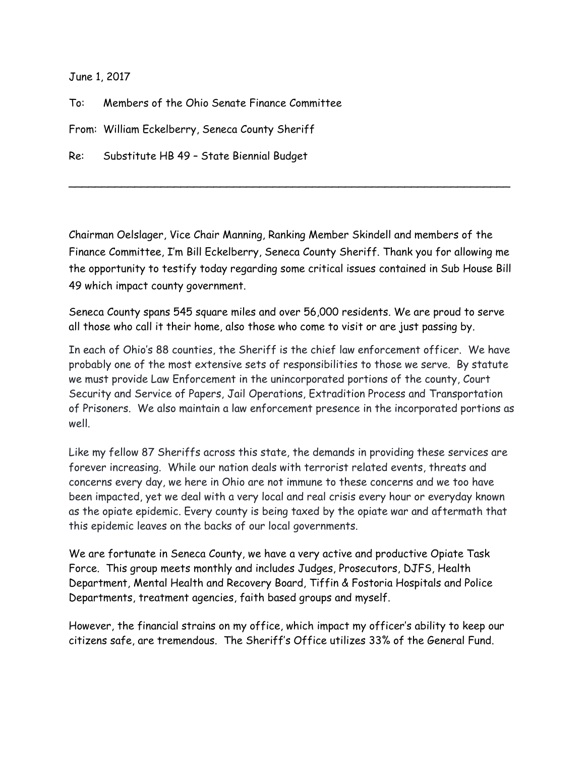June 1, 2017

To: Members of the Ohio Senate Finance Committee

From: William Eckelberry, Seneca County Sheriff

Re: Substitute HB 49 – State Biennial Budget

Chairman Oelslager, Vice Chair Manning, Ranking Member Skindell and members of the Finance Committee, I'm Bill Eckelberry, Seneca County Sheriff. Thank you for allowing me the opportunity to testify today regarding some critical issues contained in Sub House Bill 49 which impact county government.

 $\sim$  . The contract of the contract of the contract of the contract of the contract of the contract of the contract of

Seneca County spans 545 square miles and over 56,000 residents. We are proud to serve all those who call it their home, also those who come to visit or are just passing by.

In each of Ohio's 88 counties, the Sheriff is the chief law enforcement officer. We have probably one of the most extensive sets of responsibilities to those we serve. By statute we must provide Law Enforcement in the unincorporated portions of the county, Court Security and Service of Papers, Jail Operations, Extradition Process and Transportation of Prisoners. We also maintain a law enforcement presence in the incorporated portions as well.

Like my fellow 87 Sheriffs across this state, the demands in providing these services are forever increasing. While our nation deals with terrorist related events, threats and concerns every day, we here in Ohio are not immune to these concerns and we too have been impacted, yet we deal with a very local and real crisis every hour or everyday known as the opiate epidemic. Every county is being taxed by the opiate war and aftermath that this epidemic leaves on the backs of our local governments.

We are fortunate in Seneca County, we have a very active and productive Opiate Task Force. This group meets monthly and includes Judges, Prosecutors, DJFS, Health Department, Mental Health and Recovery Board, Tiffin & Fostoria Hospitals and Police Departments, treatment agencies, faith based groups and myself.

However, the financial strains on my office, which impact my officer's ability to keep our citizens safe, are tremendous. The Sheriff's Office utilizes 33% of the General Fund.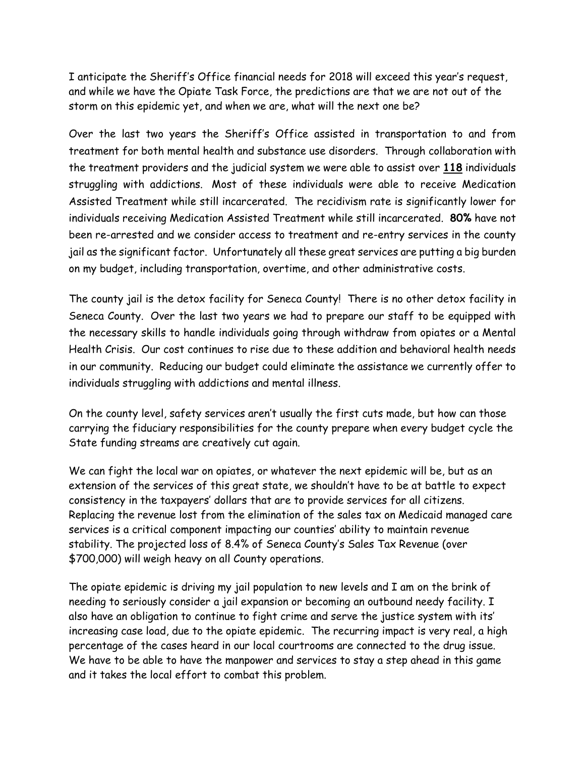I anticipate the Sheriff's Office financial needs for 2018 will exceed this year's request, and while we have the Opiate Task Force, the predictions are that we are not out of the storm on this epidemic yet, and when we are, what will the next one be?

Over the last two years the Sheriff's Office assisted in transportation to and from treatment for both mental health and substance use disorders. Through collaboration with the treatment providers and the judicial system we were able to assist over **118** individuals struggling with addictions. Most of these individuals were able to receive Medication Assisted Treatment while still incarcerated. The recidivism rate is significantly lower for individuals receiving Medication Assisted Treatment while still incarcerated. **80%** have not been re-arrested and we consider access to treatment and re-entry services in the county jail as the significant factor. Unfortunately all these great services are putting a big burden on my budget, including transportation, overtime, and other administrative costs.

The county jail is the detox facility for Seneca County! There is no other detox facility in Seneca County. Over the last two years we had to prepare our staff to be equipped with the necessary skills to handle individuals going through withdraw from opiates or a Mental Health Crisis. Our cost continues to rise due to these addition and behavioral health needs in our community. Reducing our budget could eliminate the assistance we currently offer to individuals struggling with addictions and mental illness.

On the county level, safety services aren't usually the first cuts made, but how can those carrying the fiduciary responsibilities for the county prepare when every budget cycle the State funding streams are creatively cut again.

We can fight the local war on opiates, or whatever the next epidemic will be, but as an extension of the services of this great state, we shouldn't have to be at battle to expect consistency in the taxpayers' dollars that are to provide services for all citizens. Replacing the revenue lost from the elimination of the sales tax on Medicaid managed care services is a critical component impacting our counties' ability to maintain revenue stability. The projected loss of 8.4% of Seneca County's Sales Tax Revenue (over \$700,000) will weigh heavy on all County operations.

The opiate epidemic is driving my jail population to new levels and I am on the brink of needing to seriously consider a jail expansion or becoming an outbound needy facility. I also have an obligation to continue to fight crime and serve the justice system with its' increasing case load, due to the opiate epidemic. The recurring impact is very real, a high percentage of the cases heard in our local courtrooms are connected to the drug issue. We have to be able to have the manpower and services to stay a step ahead in this game and it takes the local effort to combat this problem.